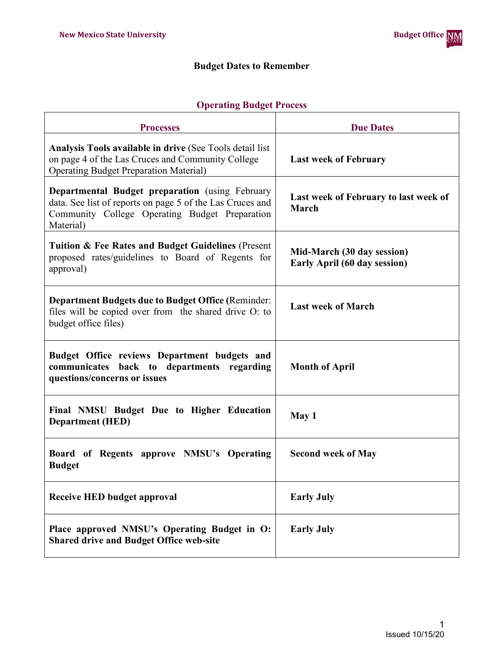r

# **Budget Dates to Remember**

#### **Operating Budget Process**

| <b>Processes</b>                                                                                                                                                                   | <b>Due Dates</b>                                                  |
|------------------------------------------------------------------------------------------------------------------------------------------------------------------------------------|-------------------------------------------------------------------|
| Analysis Tools available in drive (See Tools detail list<br>on page 4 of the Las Cruces and Community College<br><b>Operating Budget Preparation Material)</b>                     | <b>Last week of February</b>                                      |
| <b>Departmental Budget preparation</b> (using February<br>data. See list of reports on page 5 of the Las Cruces and<br>Community College Operating Budget Preparation<br>Material) | Last week of February to last week of<br><b>March</b>             |
| <b>Tuition &amp; Fee Rates and Budget Guidelines (Present</b><br>proposed rates/guidelines to Board of Regents for<br>approval)                                                    | Mid-March (30 day session)<br><b>Early April (60 day session)</b> |
| <b>Department Budgets due to Budget Office (Reminder:</b><br>files will be copied over from the shared drive O: to<br>budget office files)                                         | <b>Last week of March</b>                                         |
| Budget Office reviews Department budgets and<br>communicates back to departments regarding<br>questions/concerns or issues                                                         | <b>Month of April</b>                                             |
| Final NMSU Budget Due to Higher Education<br><b>Department</b> (HED)                                                                                                               | May 1                                                             |
| Board of Regents approve NMSU's Operating<br><b>Budget</b>                                                                                                                         | <b>Second week of May</b>                                         |
| <b>Receive HED budget approval</b>                                                                                                                                                 | <b>Early July</b>                                                 |
| Place approved NMSU's Operating Budget in O:<br><b>Shared drive and Budget Office web-site</b>                                                                                     | <b>Early July</b>                                                 |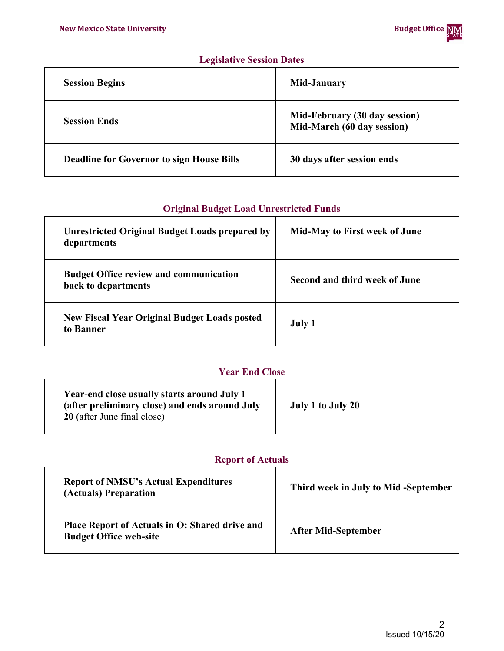### **Legislative Session Dates**

| <b>Session Begins</b>                            | Mid-January                                                 |
|--------------------------------------------------|-------------------------------------------------------------|
| <b>Session Ends</b>                              | Mid-February (30 day session)<br>Mid-March (60 day session) |
| <b>Deadline for Governor to sign House Bills</b> | 30 days after session ends                                  |

#### **Original Budget Load Unrestricted Funds**

| <b>Unrestricted Original Budget Loads prepared by</b><br>departments | <b>Mid-May to First week of June</b> |
|----------------------------------------------------------------------|--------------------------------------|
| <b>Budget Office review and communication</b><br>back to departments | Second and third week of June        |
| <b>New Fiscal Year Original Budget Loads posted</b><br>to Banner     | July 1                               |

## **Year End Close**

| Year-end close usually starts around July 1<br>(after preliminary close) and ends around July<br>20 (after June final close) | July 1 to July 20 |
|------------------------------------------------------------------------------------------------------------------------------|-------------------|
|------------------------------------------------------------------------------------------------------------------------------|-------------------|

## **Report of Actuals**

| <b>Report of NMSU's Actual Expenditures</b><br>(Actuals) Preparation            | Third week in July to Mid-September |
|---------------------------------------------------------------------------------|-------------------------------------|
| Place Report of Actuals in O: Shared drive and<br><b>Budget Office web-site</b> | <b>After Mid-September</b>          |